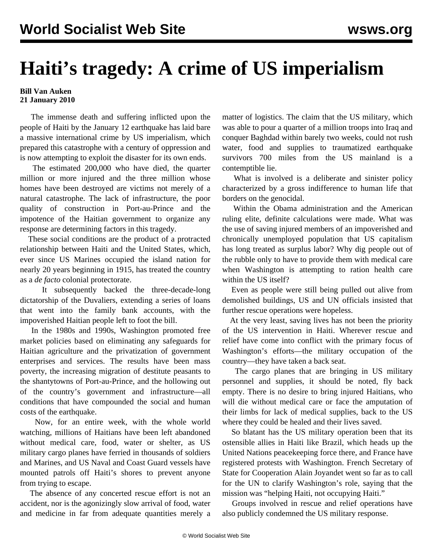## **Haiti's tragedy: A crime of US imperialism**

## **Bill Van Auken 21 January 2010**

 The immense death and suffering inflicted upon the people of Haiti by the January 12 earthquake has laid bare a massive international crime by US imperialism, which prepared this catastrophe with a century of oppression and is now attempting to exploit the disaster for its own ends.

 The estimated 200,000 who have died, the quarter million or more injured and the three million whose homes have been destroyed are victims not merely of a natural catastrophe. The lack of infrastructure, the poor quality of construction in Port-au-Prince and the impotence of the Haitian government to organize any response are determining factors in this tragedy.

 These social conditions are the product of a protracted relationship between Haiti and the United States, which, ever since US Marines occupied the island nation for nearly 20 years beginning in 1915, has treated the country as a *de facto* colonial protectorate.

 It subsequently backed the three-decade-long dictatorship of the Duvaliers, extending a series of loans that went into the family bank accounts, with the impoverished Haitian people left to foot the bill.

 In the 1980s and 1990s, Washington promoted free market policies based on eliminating any safeguards for Haitian agriculture and the privatization of government enterprises and services. The results have been mass poverty, the increasing migration of destitute peasants to the shantytowns of Port-au-Prince, and the hollowing out of the country's government and infrastructure—all conditions that have compounded the social and human costs of the earthquake.

 Now, for an entire week, with the whole world watching, millions of Haitians have been left abandoned without medical care, food, water or shelter, as US military cargo planes have ferried in thousands of soldiers and Marines, and US Naval and Coast Guard vessels have mounted patrols off Haiti's shores to prevent anyone from trying to escape.

 The absence of any concerted rescue effort is not an accident, nor is the agonizingly slow arrival of food, water and medicine in far from adequate quantities merely a matter of logistics. The claim that the US military, which was able to pour a quarter of a million troops into Iraq and conquer Baghdad within barely two weeks, could not rush water, food and supplies to traumatized earthquake survivors 700 miles from the US mainland is a contemptible lie.

 What is involved is a deliberate and sinister policy characterized by a gross indifference to human life that borders on the genocidal.

 Within the Obama administration and the American ruling elite, definite calculations were made. What was the use of saving injured members of an impoverished and chronically unemployed population that US capitalism has long treated as surplus labor? Why dig people out of the rubble only to have to provide them with medical care when Washington is attempting to ration health care within the US itself?

 Even as people were still being pulled out alive from demolished buildings, US and UN officials insisted that further rescue operations were hopeless.

 At the very least, saving lives has not been the priority of the US intervention in Haiti. Wherever rescue and relief have come into conflict with the primary focus of Washington's efforts—the military occupation of the country—they have taken a back seat.

 The cargo planes that are bringing in US military personnel and supplies, it should be noted, fly back empty. There is no desire to bring injured Haitians, who will die without medical care or face the amputation of their limbs for lack of medical supplies, back to the US where they could be healed and their lives saved.

 So blatant has the US military operation been that its ostensible allies in Haiti like Brazil, which heads up the United Nations peacekeeping force there, and France have registered protests with Washington. French Secretary of State for Cooperation Alain Joyandet went so far as to call for the UN to clarify Washington's role, saying that the mission was "helping Haiti, not occupying Haiti."

 Groups involved in rescue and relief operations have also publicly condemned the US military response.